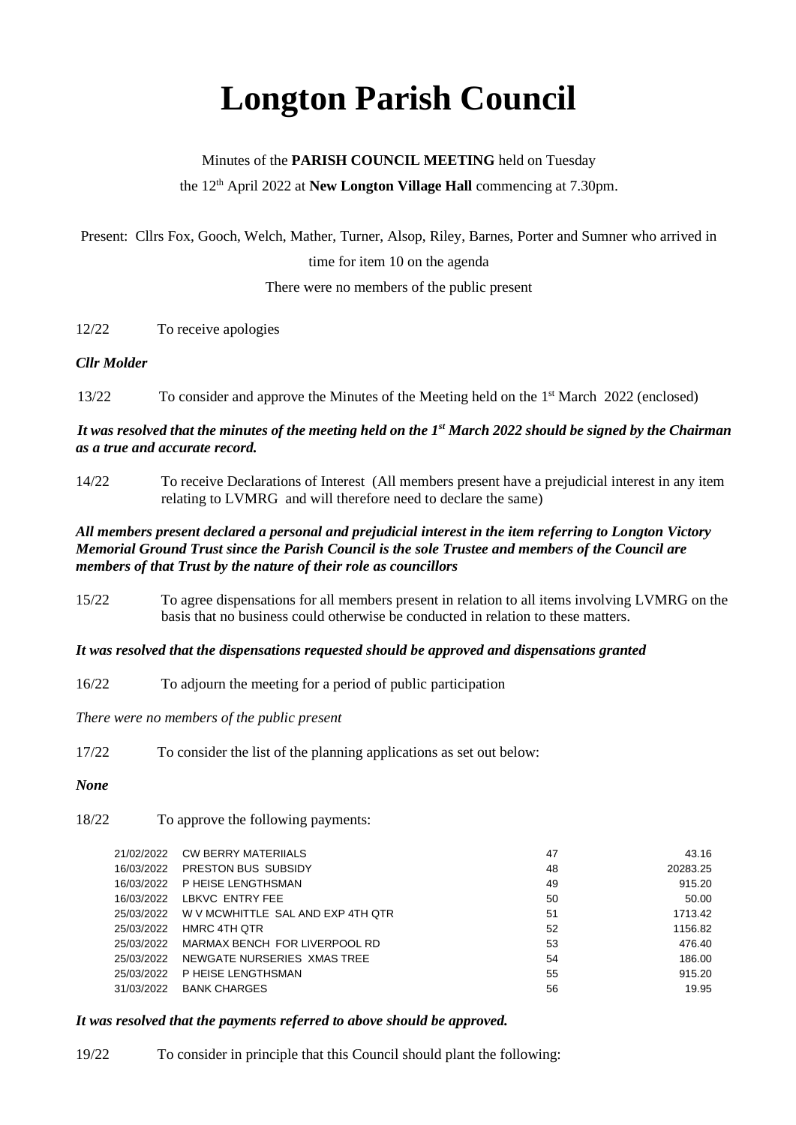# **Longton Parish Council**

# Minutes of the **PARISH COUNCIL MEETING** held on Tuesday the 12<sup>th</sup> April 2022 at **New Longton Village Hall** commencing at 7.30pm.

Present: Cllrs Fox, Gooch, Welch, Mather, Turner, Alsop, Riley, Barnes, Porter and Sumner who arrived in time for item 10 on the agenda

There were no members of the public present

#### 12/22 To receive apologies

#### *Cllr Molder*

13/22 To consider and approve the Minutes of the Meeting held on the 1<sup>st</sup> March 2022 (enclosed)

#### *It was resolved that the minutes of the meeting held on the 1st March 2022 should be signed by the Chairman as a true and accurate record.*

14/22 To receive Declarations of Interest (All members present have a prejudicial interest in any item relating to LVMRG and will therefore need to declare the same)

#### *All members present declared a personal and prejudicial interest in the item referring to Longton Victory Memorial Ground Trust since the Parish Council is the sole Trustee and members of the Council are members of that Trust by the nature of their role as councillors*

15/22 To agree dispensations for all members present in relation to all items involving LVMRG on the basis that no business could otherwise be conducted in relation to these matters.

#### *It was resolved that the dispensations requested should be approved and dispensations granted*

16/22 To adjourn the meeting for a period of public participation

*There were no members of the public present*

17/22 To consider the list of the planning applications as set out below:

#### *None*

18/22 To approve the following payments:

| 21/02/2022 | <b>CW BERRY MATERIIALS</b>        | 47 | 43.16    |
|------------|-----------------------------------|----|----------|
| 16/03/2022 | PRESTON BUS SUBSIDY               | 48 | 20283.25 |
| 16/03/2022 | P HEISE LENGTHSMAN                | 49 | 915.20   |
| 16/03/2022 | LBKVC ENTRY FEE                   | 50 | 50.00    |
| 25/03/2022 | W V MCWHITTLE SAL AND EXP 4TH QTR | 51 | 1713.42  |
| 25/03/2022 | HMRC 4TH OTR                      | 52 | 1156.82  |
| 25/03/2022 | MARMAX BENCH FOR LIVERPOOL RD     | 53 | 476.40   |
| 25/03/2022 | NEWGATE NURSERIES XMAS TREE       | 54 | 186.00   |
| 25/03/2022 | P HEISE LENGTHSMAN                | 55 | 915.20   |
| 31/03/2022 | <b>BANK CHARGES</b>               | 56 | 19.95    |
|            |                                   |    |          |

## *It was resolved that the payments referred to above should be approved.*

19/22 To consider in principle that this Council should plant the following: